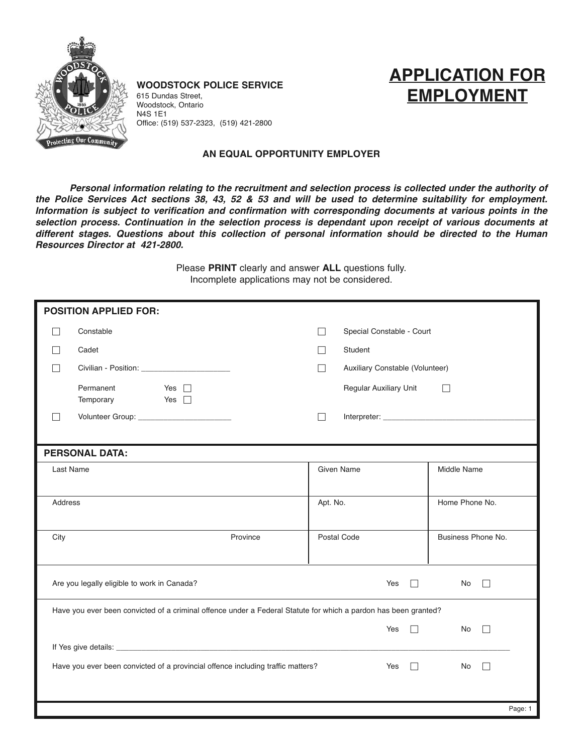

### **WOODSTOCK POLICE SERVICE**

615 Dundas Street, Woodstock, Ontario N4S 1E1 Office: (519) 537-2323, (519) 421-2800

# **APPLICATION FOR EMPLOYMENT**

#### **AN EQUAL OPPORTUNITY EMPLOYER**

*Personal information relating to the recruitment and selection process is collected under the authority of* the Police Services Act sections 38, 43, 52 & 53 and will be used to determine suitability for employment. *Information is subject to verification and confirmation with corresponding documents at various points in the selection process. Continuation in the selection process is dependant upon receipt of various documents at different stages. Questions about this collection of personal information should be directed to the Human Resources Director at 421-2800.*

> Please **PRINT** clearly and answer **ALL** questions fully. Incomplete applications may not be considered.

| <b>POSITION APPLIED FOR:</b>                                                                                    |                                                                                                    |               |                                 |                    |  |  |
|-----------------------------------------------------------------------------------------------------------------|----------------------------------------------------------------------------------------------------|---------------|---------------------------------|--------------------|--|--|
|                                                                                                                 | Constable                                                                                          | П             | Special Constable - Court       |                    |  |  |
|                                                                                                                 | Cadet                                                                                              | $\mathsf{L}$  | Student                         |                    |  |  |
|                                                                                                                 | Civilian - Position: ________________________                                                      |               | Auxiliary Constable (Volunteer) |                    |  |  |
|                                                                                                                 | Permanent<br>Yes $\Box$<br>Yes and the Message of the Message of the State of the Ten<br>Temporary |               | Regular Auxiliary Unit          | $\perp$            |  |  |
|                                                                                                                 |                                                                                                    | П             |                                 |                    |  |  |
|                                                                                                                 |                                                                                                    |               |                                 |                    |  |  |
|                                                                                                                 | <b>PERSONAL DATA:</b>                                                                              |               |                                 |                    |  |  |
| Last Name                                                                                                       |                                                                                                    | Given Name    |                                 | <b>Middle Name</b> |  |  |
|                                                                                                                 |                                                                                                    |               |                                 |                    |  |  |
| Address                                                                                                         |                                                                                                    |               | Home Phone No.<br>Apt. No.      |                    |  |  |
|                                                                                                                 |                                                                                                    |               |                                 |                    |  |  |
| City                                                                                                            | Province                                                                                           |               | Postal Code                     | Business Phone No. |  |  |
|                                                                                                                 |                                                                                                    |               |                                 |                    |  |  |
|                                                                                                                 | Are you legally eligible to work in Canada?                                                        | Yes<br>$\Box$ | No<br>$\Box$                    |                    |  |  |
| Have you ever been convicted of a criminal offence under a Federal Statute for which a pardon has been granted? |                                                                                                    |               |                                 |                    |  |  |
|                                                                                                                 |                                                                                                    |               |                                 | No<br>$\mathbf{L}$ |  |  |
|                                                                                                                 |                                                                                                    |               |                                 |                    |  |  |
| Have you ever been convicted of a provincial offence including traffic matters?                                 |                                                                                                    |               | Yes<br>$\perp$                  | No<br>$\Box$       |  |  |
|                                                                                                                 |                                                                                                    |               |                                 |                    |  |  |
|                                                                                                                 |                                                                                                    |               |                                 |                    |  |  |
|                                                                                                                 |                                                                                                    |               |                                 | Page: 1            |  |  |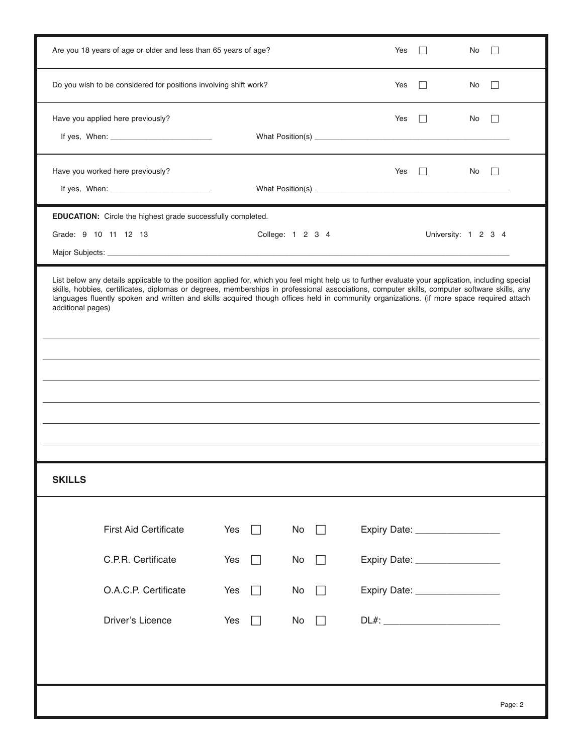| Are you 18 years of age or older and less than 65 years of age?                                                                                                                                                                                                                                                                                                                                                                                                                                                                                          |                  |          |  |                                                                  |                     | No. |         |
|----------------------------------------------------------------------------------------------------------------------------------------------------------------------------------------------------------------------------------------------------------------------------------------------------------------------------------------------------------------------------------------------------------------------------------------------------------------------------------------------------------------------------------------------------------|------------------|----------|--|------------------------------------------------------------------|---------------------|-----|---------|
| Do you wish to be considered for positions involving shift work?                                                                                                                                                                                                                                                                                                                                                                                                                                                                                         |                  |          |  |                                                                  | $\perp$             | No  |         |
| Have you applied here previously?                                                                                                                                                                                                                                                                                                                                                                                                                                                                                                                        |                  |          |  | Yes                                                              | $\perp$             | No  |         |
| Have you worked here previously?                                                                                                                                                                                                                                                                                                                                                                                                                                                                                                                         |                  |          |  | Yes                                                              | $\perp$             | No. |         |
| <b>EDUCATION:</b> Circle the highest grade successfully completed.<br>Grade: 9 10 11 12 13                                                                                                                                                                                                                                                                                                                                                                                                                                                               | College: 1 2 3 4 |          |  |                                                                  | University: 1 2 3 4 |     |         |
| List below any details applicable to the position applied for, which you feel might help us to further evaluate your application, including special<br>skills, hobbies, certificates, diplomas or degrees, memberships in professional associations, computer skills, computer software skills, any<br>languages fluently spoken and written and skills acquired though offices held in community organizations. (if more space required attach<br>additional pages)<br>,我们也不会有什么。""我们的人,我们也不会有什么?""我们的人,我们也不会有什么?""我们的人,我们的人,我们的人,我们的人,我们的人,我们的人,我们的人,我 |                  |          |  |                                                                  |                     |     |         |
|                                                                                                                                                                                                                                                                                                                                                                                                                                                                                                                                                          |                  |          |  |                                                                  |                     |     |         |
| <b>SKILLS</b>                                                                                                                                                                                                                                                                                                                                                                                                                                                                                                                                            |                  |          |  |                                                                  |                     |     |         |
| <b>First Aid Certificate</b><br>Yes                                                                                                                                                                                                                                                                                                                                                                                                                                                                                                                      | $\perp$          | No       |  | Expiry Date: _________________                                   |                     |     |         |
| C.P.R. Certificate<br>Yes<br>O.A.C.P. Certificate<br>Yes                                                                                                                                                                                                                                                                                                                                                                                                                                                                                                 |                  | No<br>No |  | Expiry Date: _________________<br>Expiry Date: _________________ |                     |     |         |
| Driver's Licence<br>Yes                                                                                                                                                                                                                                                                                                                                                                                                                                                                                                                                  |                  | No       |  |                                                                  |                     |     |         |
|                                                                                                                                                                                                                                                                                                                                                                                                                                                                                                                                                          |                  |          |  |                                                                  |                     |     | Page: 2 |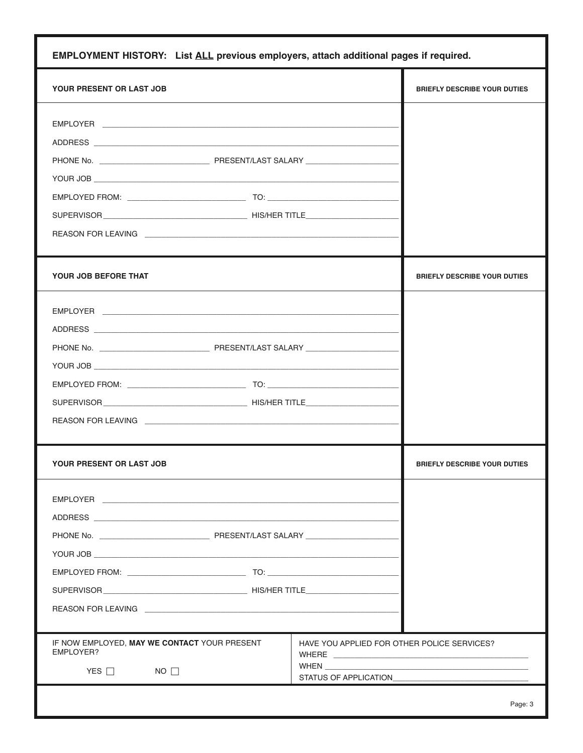| EMPLOYMENT HISTORY: List ALL previous employers, attach additional pages if required.                                                                                                                                          |                                                                                                                                |  |  |  |  |
|--------------------------------------------------------------------------------------------------------------------------------------------------------------------------------------------------------------------------------|--------------------------------------------------------------------------------------------------------------------------------|--|--|--|--|
| <b>YOUR PRESENT OR LAST JOB</b>                                                                                                                                                                                                | <b>BRIEFLY DESCRIBE YOUR DUTIES</b>                                                                                            |  |  |  |  |
|                                                                                                                                                                                                                                |                                                                                                                                |  |  |  |  |
|                                                                                                                                                                                                                                |                                                                                                                                |  |  |  |  |
|                                                                                                                                                                                                                                |                                                                                                                                |  |  |  |  |
|                                                                                                                                                                                                                                |                                                                                                                                |  |  |  |  |
|                                                                                                                                                                                                                                |                                                                                                                                |  |  |  |  |
|                                                                                                                                                                                                                                |                                                                                                                                |  |  |  |  |
| REASON FOR LEAVING THE RESIDENCE OF THE REASON FOR LEAVING.                                                                                                                                                                    |                                                                                                                                |  |  |  |  |
|                                                                                                                                                                                                                                |                                                                                                                                |  |  |  |  |
| YOUR JOB BEFORE THAT                                                                                                                                                                                                           | <b>BRIEFLY DESCRIBE YOUR DUTIES</b>                                                                                            |  |  |  |  |
|                                                                                                                                                                                                                                |                                                                                                                                |  |  |  |  |
|                                                                                                                                                                                                                                |                                                                                                                                |  |  |  |  |
|                                                                                                                                                                                                                                |                                                                                                                                |  |  |  |  |
|                                                                                                                                                                                                                                |                                                                                                                                |  |  |  |  |
|                                                                                                                                                                                                                                |                                                                                                                                |  |  |  |  |
|                                                                                                                                                                                                                                |                                                                                                                                |  |  |  |  |
|                                                                                                                                                                                                                                |                                                                                                                                |  |  |  |  |
| YOUR PRESENT OR LAST JOB                                                                                                                                                                                                       | <b>BRIEFLY DESCRIBE YOUR DUTIES</b>                                                                                            |  |  |  |  |
|                                                                                                                                                                                                                                |                                                                                                                                |  |  |  |  |
| ADDRESS AND THE STATE OF THE STATE OF THE STATE OF THE STATE OF THE STATE OF THE STATE OF THE STATE OF THE STATE OF THE STATE OF THE STATE OF THE STATE OF THE STATE OF THE STATE OF THE STATE OF THE STATE OF THE STATE OF TH |                                                                                                                                |  |  |  |  |
|                                                                                                                                                                                                                                |                                                                                                                                |  |  |  |  |
|                                                                                                                                                                                                                                |                                                                                                                                |  |  |  |  |
|                                                                                                                                                                                                                                |                                                                                                                                |  |  |  |  |
|                                                                                                                                                                                                                                |                                                                                                                                |  |  |  |  |
|                                                                                                                                                                                                                                |                                                                                                                                |  |  |  |  |
|                                                                                                                                                                                                                                |                                                                                                                                |  |  |  |  |
| IF NOW EMPLOYED, MAY WE CONTACT YOUR PRESENT<br>EMPLOYER?                                                                                                                                                                      | HAVE YOU APPLIED FOR OTHER POLICE SERVICES?                                                                                    |  |  |  |  |
| YES $\Box$<br>$NO$ $\Box$                                                                                                                                                                                                      | <b>WHEN</b><br>the control of the control of the control of the control of the control of<br>STATUS OF APPLICATION____________ |  |  |  |  |
|                                                                                                                                                                                                                                | Page: 3                                                                                                                        |  |  |  |  |